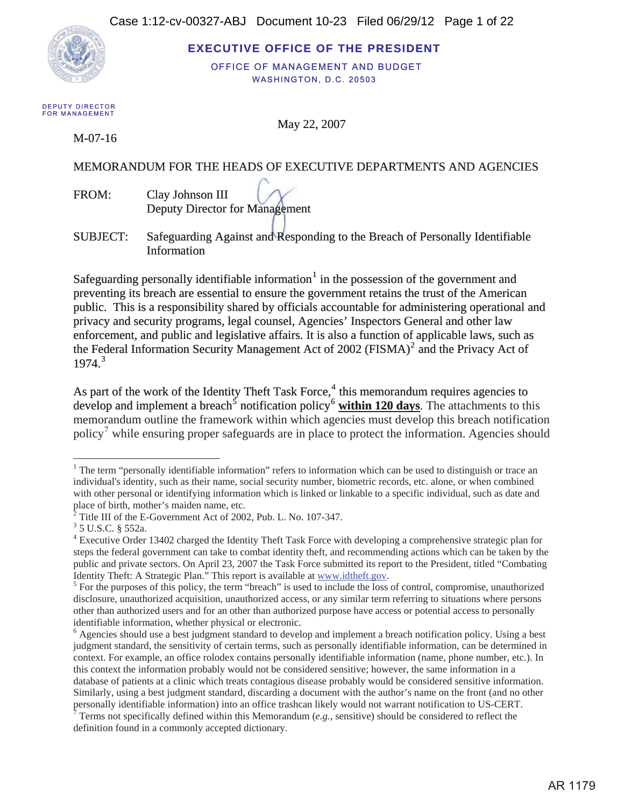

**EXECUTIVE OFFICE OF THE PRESIDENT** 

OFFICE OF MANAGEMENT AND BUDGET WASHINGTON, D.C. 20503

DEPUTY DIRECTOR **FOR MANAGEMENT** 

May 22, 2007

M-07-16

### MEMORANDUM FOR THE HEADS OF EXECUTIVE DEPARTMENTS AND AGENCIES

FROM: Clay Johnson III Deputy Director for Management

SUBJECT: Safeguarding Against and Responding to the Breach of Personally Identifiable **Information** 

Safeguarding personally identifiable information $1$  in the possession of the government and preventing its breach are essential to ensure the government retains the trust of the American public. This is a responsibility shared by officials accountable for administering operational and privacy and security programs, legal counsel, Agencies' Inspectors General and other law enforcement, and public and legislative affairs. It is also a function of applicable laws, such as the Federal Information Security Management Act of 2002 (FISMA) $^2$  and the Privacy Act of  $1974<sup>3</sup>$ 

As part of the work of the Identity Theft Task Force, $<sup>4</sup>$  this memorandum requires agencies to</sup> As part of the work of the Identity Theft Task Force,<sup>4</sup> this memorandum requires agencies to develop and implement a breach<sup>5</sup> notification policy<sup>6</sup> within 120 days. The attachments to this memorandum outline the framework within which agencies must develop this breach notification policy<sup>7</sup> while ensuring proper safeguards are in place to protect the information. Agencies should

<sup>&</sup>lt;sup>1</sup> The term "personally identifiable information" refers to information which can be used to distinguish or trace an individual's identity, such as their name, social security number, biometric records, etc. alone, or when combined with other personal or identifying information which is linked or linkable to a specific individual, such as date and place of birth, mother's maiden name, etc.<br> $^{2}$  Title III of the E Government Act of 2000

Title III of the E-Government Act of 2002, Pub. L. No. 107-347. 3

 $^3$  5 U.S.C.  $\S$  552a.

<sup>&</sup>lt;sup>4</sup> Executive Order 13402 charged the Identity Theft Task Force with developing a comprehensive strategic plan for steps the federal government can take to combat identity theft, and recommending actions which can be taken by the public and private sectors. On April 23, 2007 the Task Force submitted its report to the President, titled "Combating Identity Theft: A Strategic Plan." This report is available at www.idtheft.gov.

 $<sup>5</sup>$  For the purposes of this policy, the term "breach" is used to include the loss of control, compromise, unauthorized</sup> disclosure, unauthorized acquisition, unauthorized access, or any similar term referring to situations where persons other than authorized users and for an other than authorized purpose have access or potential access to personally identifiable information, whether physical or electronic.

<sup>&</sup>lt;sup>6</sup> Agencies should use a best judgment standard to develop and implement a breach notification policy. Using a best judgment standard, the sensitivity of certain terms, such as personally identifiable information, can be determined in context. For example, an office rolodex contains personally identifiable information (name, phone number, etc.). In this context the information probably would not be considered sensitive; however, the same information in a database of patients at a clinic which treats contagious disease probably would be considered sensitive information. Similarly, using a best judgment standard, discarding a document with the author's name on the front (and no other personally identifiable information) into an office trashcan likely would not warrant notification to US-CERT.<br>Terms not specifically defined within this Memorandum (*e.g.*, sensitive) should be considered to reflect the

definition found in a commonly accepted dictionary.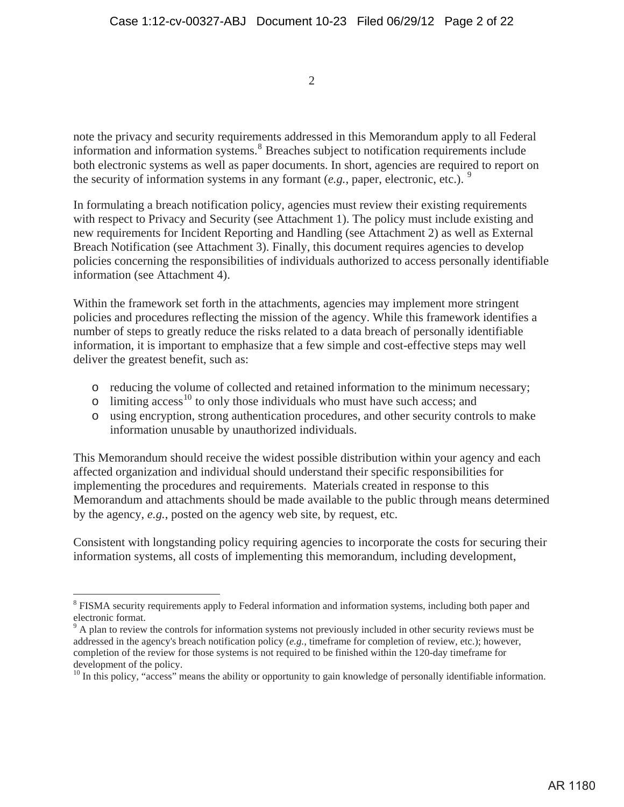note the privacy and security requirements addressed in this Memorandum apply to all Federal information and information systems.<sup>8</sup> Breaches subject to notification requirements include both electronic systems as well as paper documents. In short, agencies are required to report on the security of information systems in any formant  $(e.g.,$  paper, electronic, etc.). <sup>9</sup>

In formulating a breach notification policy, agencies must review their existing requirements with respect to Privacy and Security (see Attachment 1). The policy must include existing and new requirements for Incident Reporting and Handling (see Attachment 2) as well as External Breach Notification (see Attachment 3). Finally, this document requires agencies to develop policies concerning the responsibilities of individuals authorized to access personally identifiable information (see Attachment 4).

Within the framework set forth in the attachments, agencies may implement more stringent policies and procedures reflecting the mission of the agency. While this framework identifies a number of steps to greatly reduce the risks related to a data breach of personally identifiable information, it is important to emphasize that a few simple and cost-effective steps may well deliver the greatest benefit, such as:

- o reducing the volume of collected and retained information to the minimum necessary;
- $\circ$  limiting access<sup>10</sup> to only those individuals who must have such access; and
- o using encryption, strong authentication procedures, and other security controls to make information unusable by unauthorized individuals.

This Memorandum should receive the widest possible distribution within your agency and each affected organization and individual should understand their specific responsibilities for implementing the procedures and requirements. Materials created in response to this Memorandum and attachments should be made available to the public through means determined by the agency, *e.g.*, posted on the agency web site, by request, etc.

Consistent with longstanding policy requiring agencies to incorporate the costs for securing their information systems, all costs of implementing this memorandum, including development,

<sup>&</sup>lt;sup>8</sup> FISMA security requirements apply to Federal information and information systems, including both paper and electronic format.

<sup>&</sup>lt;sup>9</sup> A plan to review the controls for information systems not previously included in other security reviews must be addressed in the agency's breach notification policy (*e.g.*, timeframe for completion of review, etc.); however, completion of the review for those systems is not required to be finished within the 120-day timeframe for development of the policy.

 $10$  In this policy, "access" means the ability or opportunity to gain knowledge of personally identifiable information.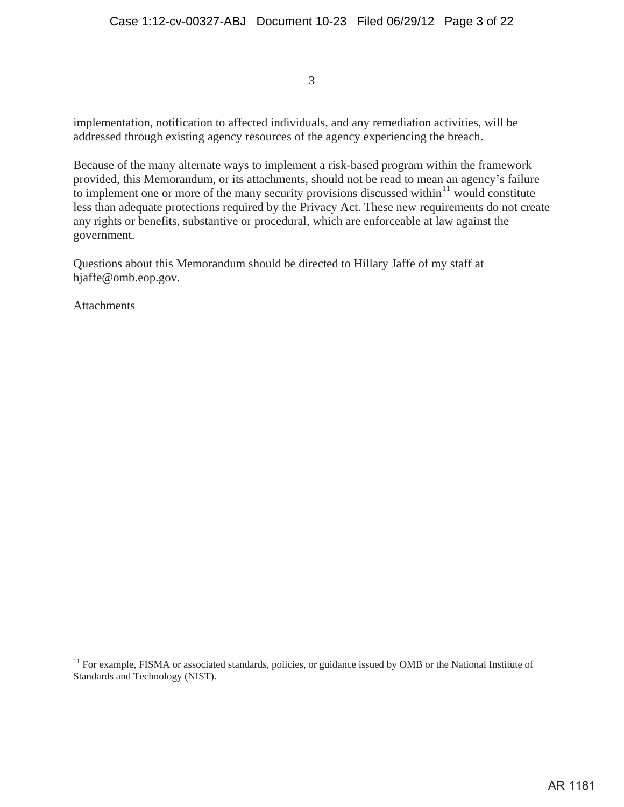implementation, notification to affected individuals, and any remediation activities, will be addressed through existing agency resources of the agency experiencing the breach.

Because of the many alternate ways to implement a risk-based program within the framework provided, this Memorandum, or its attachments, should not be read to mean an agency's failure to implement one or more of the many security provisions discussed within<sup>11</sup> would constitute less than adequate protections required by the Privacy Act. These new requirements do not create any rights or benefits, substantive or procedural, which are enforceable at law against the government.

Questions about this Memorandum should be directed to Hillary Jaffe of my staff at hjaffe@omb.eop.gov.

**Attachments** 

<sup>&</sup>lt;sup>11</sup> For example, FISMA or associated standards, policies, or guidance issued by OMB or the National Institute of Standards and Technology (NIST).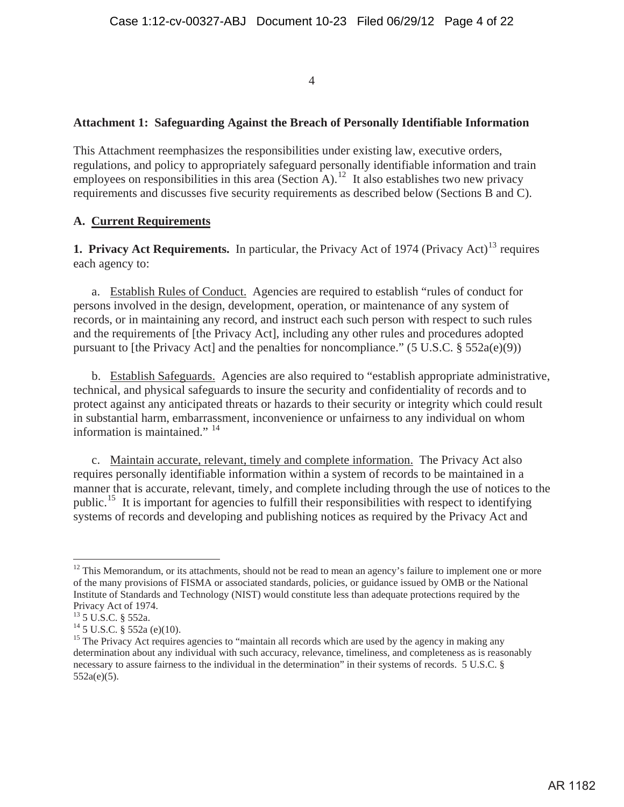### **Attachment 1: Safeguarding Against the Breach of Personally Identifiable Information**

This Attachment reemphasizes the responsibilities under existing law, executive orders, regulations, and policy to appropriately safeguard personally identifiable information and train employees on responsibilities in this area (Section A).<sup>12</sup> It also establishes two new privacy requirements and discusses five security requirements as described below (Sections B and C).

#### **A. Current Requirements**

**1. Privacy Act Requirements.** In particular, the Privacy Act of 1974 (Privacy Act)<sup>13</sup> requires each agency to:

a. Establish Rules of Conduct. Agencies are required to establish "rules of conduct for persons involved in the design, development, operation, or maintenance of any system of records, or in maintaining any record, and instruct each such person with respect to such rules and the requirements of [the Privacy Act], including any other rules and procedures adopted pursuant to [the Privacy Act] and the penalties for noncompliance." (5 U.S.C.  $\S$  552a(e)(9))

b. Establish Safeguards. Agencies are also required to "establish appropriate administrative, technical, and physical safeguards to insure the security and confidentiality of records and to protect against any anticipated threats or hazards to their security or integrity which could result in substantial harm, embarrassment, inconvenience or unfairness to any individual on whom information is maintained."<sup>14</sup>

c. Maintain accurate, relevant, timely and complete information. The Privacy Act also requires personally identifiable information within a system of records to be maintained in a manner that is accurate, relevant, timely, and complete including through the use of notices to the public.15 It is important for agencies to fulfill their responsibilities with respect to identifying systems of records and developing and publishing notices as required by the Privacy Act and

 $12$  This Memorandum, or its attachments, should not be read to mean an agency's failure to implement one or more of the many provisions of FISMA or associated standards, policies, or guidance issued by OMB or the National Institute of Standards and Technology (NIST) would constitute less than adequate protections required by the Privacy Act of 1974.

<sup>13 5</sup> U.S.C. § 552a.

 $14\overline{5}$  U.S.C.  $\overline{8}$  552a (e)(10).

<sup>&</sup>lt;sup>15</sup> The Privacy Act requires agencies to "maintain all records which are used by the agency in making any determination about any individual with such accuracy, relevance, timeliness, and completeness as is reasonably necessary to assure fairness to the individual in the determination" in their systems of records. 5 U.S.C. § 552a(e)(5).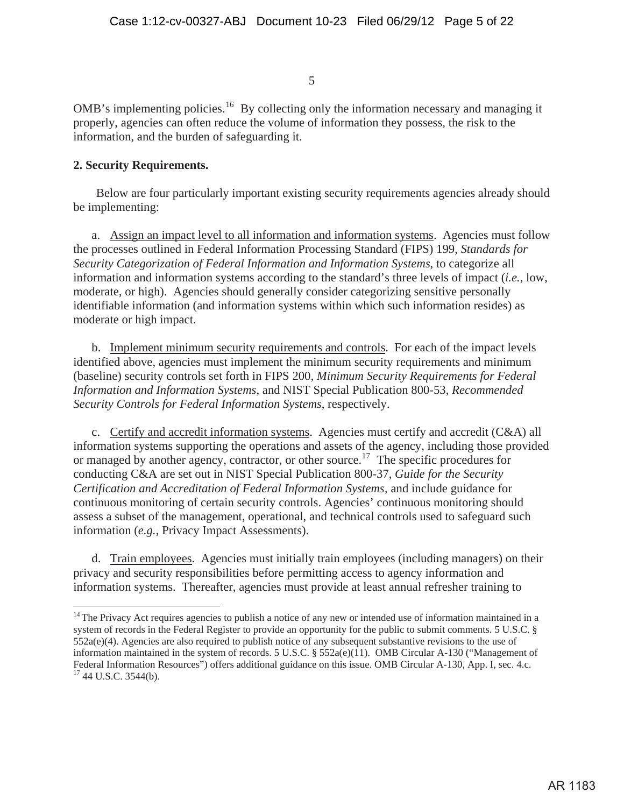OMB's implementing policies.<sup>16</sup> By collecting only the information necessary and managing it properly, agencies can often reduce the volume of information they possess, the risk to the information, and the burden of safeguarding it.

## **2. Security Requirements.**

Below are four particularly important existing security requirements agencies already should be implementing:

a. Assign an impact level to all information and information systems. Agencies must follow the processes outlined in Federal Information Processing Standard (FIPS) 199, *Standards for Security Categorization of Federal Information and Information Systems*, to categorize all information and information systems according to the standard's three levels of impact (*i.e.*, low, moderate, or high). Agencies should generally consider categorizing sensitive personally identifiable information (and information systems within which such information resides) as moderate or high impact.

b. Implement minimum security requirements and controls. For each of the impact levels identified above, agencies must implement the minimum security requirements and minimum (baseline) security controls set forth in FIPS 200*, Minimum Security Requirements for Federal Information and Information Systems,* and NIST Special Publication 800-53, *Recommended Security Controls for Federal Information Systems*, respectively.

c. Certify and accredit information systems. Agencies must certify and accredit (C&A) all information systems supporting the operations and assets of the agency, including those provided or managed by another agency, contractor, or other source.<sup>17</sup> The specific procedures for conducting C&A are set out in NIST Special Publication 800-37, *Guide for the Security Certification and Accreditation of Federal Information Systems* and include guidance for continuous monitoring of certain security controls. Agencies' continuous monitoring should assess a subset of the management, operational, and technical controls used to safeguard such information (*e.g.*, Privacy Impact Assessments).

d. Train employees. Agencies must initially train employees (including managers) on their privacy and security responsibilities before permitting access to agency information and information systems. Thereafter, agencies must provide at least annual refresher training to

 $14$  The Privacy Act requires agencies to publish a notice of any new or intended use of information maintained in a system of records in the Federal Register to provide an opportunity for the public to submit comments. 5 U.S.C. § 552a(e)(4). Agencies are also required to publish notice of any subsequent substantive revisions to the use of information maintained in the system of records. 5 U.S.C. § 552a(e)(11). OMB Circular A-130 ("Management of Federal Information Resources") offers additional guidance on this issue. OMB Circular A-130, App. I, sec. 4.c. <sup>17</sup> 44 U.S.C. 3544(b).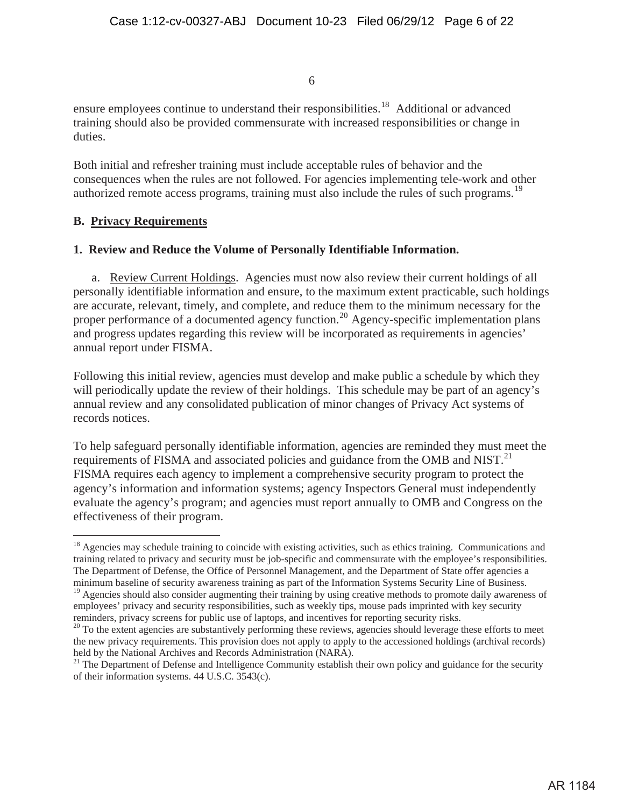ensure employees continue to understand their responsibilities.<sup>18</sup> Additional or advanced training should also be provided commensurate with increased responsibilities or change in duties.

Both initial and refresher training must include acceptable rules of behavior and the consequences when the rules are not followed. For agencies implementing tele-work and other authorized remote access programs, training must also include the rules of such programs.<sup>19</sup>

## **B. Privacy Requirements**

## **1. Review and Reduce the Volume of Personally Identifiable Information.**

a. Review Current Holdings. Agencies must now also review their current holdings of all personally identifiable information and ensure, to the maximum extent practicable, such holdings are accurate, relevant, timely, and complete, and reduce them to the minimum necessary for the proper performance of a documented agency function.<sup>20</sup> Agency-specific implementation plans and progress updates regarding this review will be incorporated as requirements in agencies' annual report under FISMA.

Following this initial review, agencies must develop and make public a schedule by which they will periodically update the review of their holdings. This schedule may be part of an agency's annual review and any consolidated publication of minor changes of Privacy Act systems of records notices.

To help safeguard personally identifiable information, agencies are reminded they must meet the requirements of FISMA and associated policies and guidance from the OMB and NIST. $^{21}$ FISMA requires each agency to implement a comprehensive security program to protect the agency's information and information systems; agency Inspectors General must independently evaluate the agency's program; and agencies must report annually to OMB and Congress on the effectiveness of their program.

<sup>&</sup>lt;sup>18</sup> Agencies may schedule training to coincide with existing activities, such as ethics training. Communications and training related to privacy and security must be job-specific and commensurate with the employee's responsibilities. The Department of Defense, the Office of Personnel Management, and the Department of State offer agencies a minimum baseline of security awareness training as part of the Information Systems Security Line of Business.

<sup>&</sup>lt;sup>19</sup> Agencies should also consider augmenting their training by using creative methods to promote daily awareness of employees' privacy and security responsibilities, such as weekly tips, mouse pads imprinted with key security reminders, privacy screens for public use of laptops, and incentives for reporting security risks.<br><sup>20</sup> To the extent agencies are substantively performing these reviews, agencies should leverage these efforts to meet

the new privacy requirements. This provision does not apply to apply to the accessioned holdings (archival records) held by the National Archives and Records Administration (NARA).

<sup>&</sup>lt;sup>21</sup> The Department of Defense and Intelligence Community establish their own policy and guidance for the security of their information systems. 44 U.S.C. 3543(c).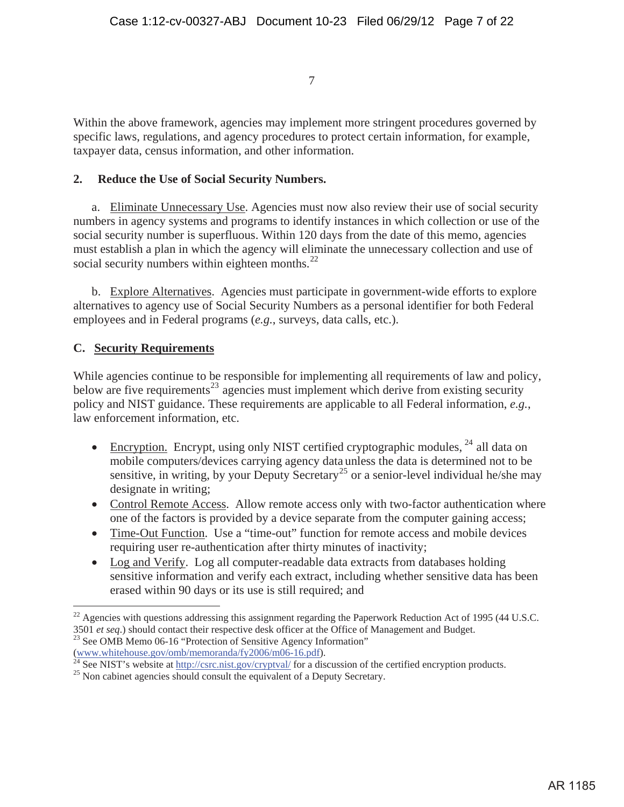Within the above framework, agencies may implement more stringent procedures governed by specific laws, regulations, and agency procedures to protect certain information, for example, taxpayer data, census information, and other information.

## **2. Reduce the Use of Social Security Numbers.**

a. Eliminate Unnecessary Use. Agencies must now also review their use of social security numbers in agency systems and programs to identify instances in which collection or use of the social security number is superfluous. Within 120 days from the date of this memo, agencies must establish a plan in which the agency will eliminate the unnecessary collection and use of social security numbers within eighteen months. $^{22}$ 

b. Explore Alternatives. Agencies must participate in government-wide efforts to explore alternatives to agency use of Social Security Numbers as a personal identifier for both Federal employees and in Federal programs (*e.g.*, surveys, data calls, etc.).

## **C. Security Requirements**

While agencies continue to be responsible for implementing all requirements of law and policy, below are five requirements<sup>23</sup> agencies must implement which derive from existing security policy and NIST guidance. These requirements are applicable to all Federal information, *e.g.*, law enforcement information, etc.

- Encryption. Encrypt, using only NIST certified cryptographic modules,  $^{24}$  all data on mobile computers/devices carrying agency data unless the data is determined not to be sensitive, in writing, by your Deputy Secretary<sup>25</sup> or a senior-level individual he/she may designate in writing;
- Control Remote Access. Allow remote access only with two-factor authentication where one of the factors is provided by a device separate from the computer gaining access;
- Time-Out Function. Use a "time-out" function for remote access and mobile devices requiring user re-authentication after thirty minutes of inactivity;
- Log and Verify. Log all computer-readable data extracts from databases holding sensitive information and verify each extract, including whether sensitive data has been erased within 90 days or its use is still required; and

 $^{22}$  Agencies with questions addressing this assignment regarding the Paperwork Reduction Act of 1995 (44 U.S.C. <sup>3501</sup>*et seq*.) should contact their respective desk officer at the Office of Management and Budget. 23 See OMB Memo 06-16 "Protection of Sensitive Agency Information"

<sup>(</sup>www.whitehouse.gov/omb/memoranda/fy2006/m06-16.pdf).<br><sup>24</sup> See NIST's website at <u>http://csrc.nist.gov/cryptval/</u> for a discussion of the certified encryption products.<br><sup>25</sup> Non cabinet agencies should consult the equival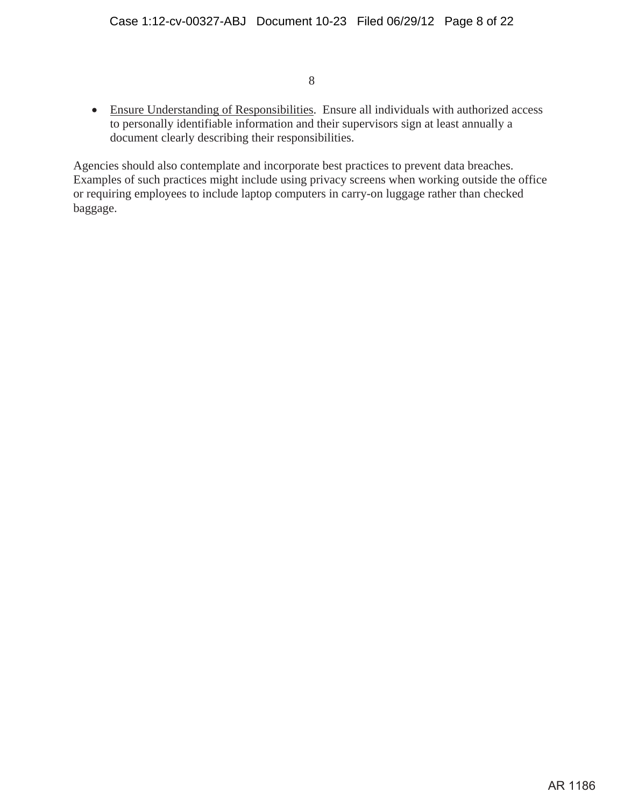• Ensure Understanding of Responsibilities. Ensure all individuals with authorized access to personally identifiable information and their supervisors sign at least annually a document clearly describing their responsibilities.

Agencies should also contemplate and incorporate best practices to prevent data breaches. Examples of such practices might include using privacy screens when working outside the office or requiring employees to include laptop computers in carry-on luggage rather than checked baggage.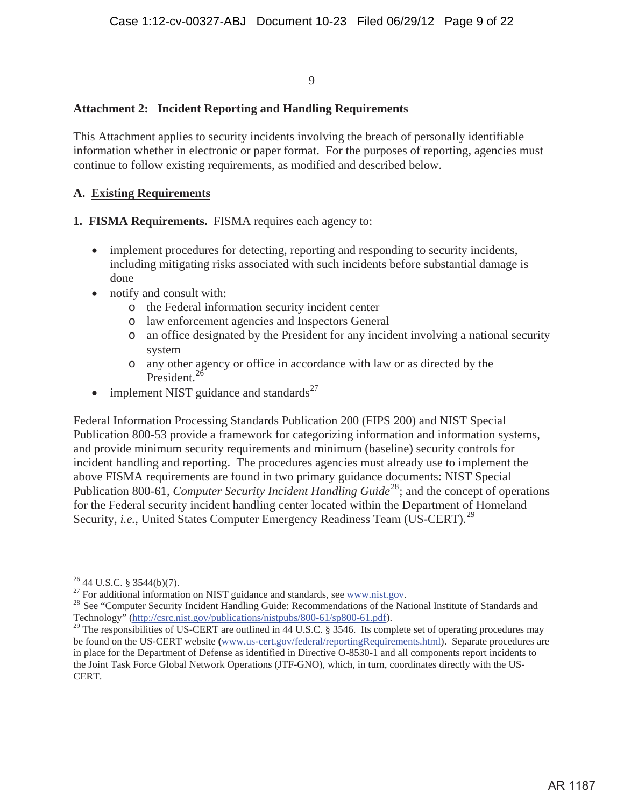## **Attachment 2: Incident Reporting and Handling Requirements**

This Attachment applies to security incidents involving the breach of personally identifiable information whether in electronic or paper format. For the purposes of reporting, agencies must continue to follow existing requirements, as modified and described below.

#### **A. Existing Requirements**

**1. FISMA Requirements.** FISMA requires each agency to:

- implement procedures for detecting, reporting and responding to security incidents, including mitigating risks associated with such incidents before substantial damage is done
- notify and consult with:
	- o the Federal information security incident center
	- o law enforcement agencies and Inspectors General
	- o an office designated by the President for any incident involving a national security system
	- o any other agency or office in accordance with law or as directed by the President.<sup>26</sup>
- implement NIST guidance and standards $^{27}$

Federal Information Processing Standards Publication 200 (FIPS 200) and NIST Special Publication 800-53 provide a framework for categorizing information and information systems, and provide minimum security requirements and minimum (baseline) security controls for incident handling and reporting. The procedures agencies must already use to implement the above FISMA requirements are found in two primary guidance documents: NIST Special Publication 800-61, *Computer Security Incident Handling Guide*<sup>28</sup>; and the concept of operations for the Federal security incident handling center located within the Department of Homeland Security, *i.e.*, United States Computer Emergency Readiness Team (US-CERT).<sup>29</sup>

<sup>&</sup>lt;sup>26</sup> 44 U.S.C. § 3544(b)(7).<br><sup>27</sup> For additional information on NIST guidance and standards, see www.nist.gov.

<sup>&</sup>lt;sup>28</sup> See "Computer Security Incident Handling Guide: Recommendations of the National Institute of Standards and Technology" (http://csrc.nist.gov/publications/nistpubs/800-61/sp800-61.pdf).

<sup>&</sup>lt;sup>29</sup> The responsibilities of US-CERT are outlined in 44 U.S.C. § 3546. Its complete set of operating procedures may be found on the US-CERT website **(**www.us-cert.gov/federal/reportingRequirements.html). Separate procedures are in place for the Department of Defense as identified in Directive O-8530-1 and all components report incidents to the Joint Task Force Global Network Operations (JTF-GNO), which, in turn, coordinates directly with the US-CERT.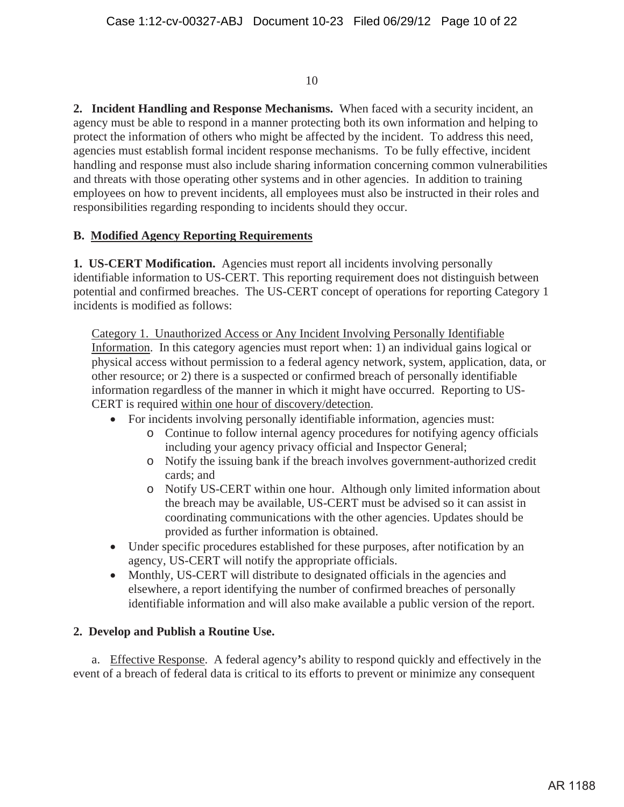**2. Incident Handling and Response Mechanisms.** When faced with a security incident, an agency must be able to respond in a manner protecting both its own information and helping to protect the information of others who might be affected by the incident. To address this need, agencies must establish formal incident response mechanisms. To be fully effective, incident handling and response must also include sharing information concerning common vulnerabilities and threats with those operating other systems and in other agencies. In addition to training employees on how to prevent incidents, all employees must also be instructed in their roles and responsibilities regarding responding to incidents should they occur.

# **B. Modified Agency Reporting Requirements**

**1. US-CERT Modification.** Agencies must report all incidents involving personally identifiable information to US-CERT. This reporting requirement does not distinguish between potential and confirmed breaches. The US-CERT concept of operations for reporting Category 1 incidents is modified as follows:

Category 1. Unauthorized Access or Any Incident Involving Personally Identifiable Information. In this category agencies must report when: 1) an individual gains logical or physical access without permission to a federal agency network, system, application, data, or other resource; or 2) there is a suspected or confirmed breach of personally identifiable information regardless of the manner in which it might have occurred. Reporting to US-CERT is required within one hour of discovery/detection.

- For incidents involving personally identifiable information, agencies must:
	- o Continue to follow internal agency procedures for notifying agency officials including your agency privacy official and Inspector General;
	- o Notify the issuing bank if the breach involves government-authorized credit cards; and
	- o Notify US-CERT within one hour. Although only limited information about the breach may be available, US-CERT must be advised so it can assist in coordinating communications with the other agencies. Updates should be provided as further information is obtained.
- Under specific procedures established for these purposes, after notification by an agency, US-CERT will notify the appropriate officials.
- Monthly, US-CERT will distribute to designated officials in the agencies and elsewhere, a report identifying the number of confirmed breaches of personally identifiable information and will also make available a public version of the report.

## **2. Develop and Publish a Routine Use.**

a. Effective Response. A federal agency**'**s ability to respond quickly and effectively in the event of a breach of federal data is critical to its efforts to prevent or minimize any consequent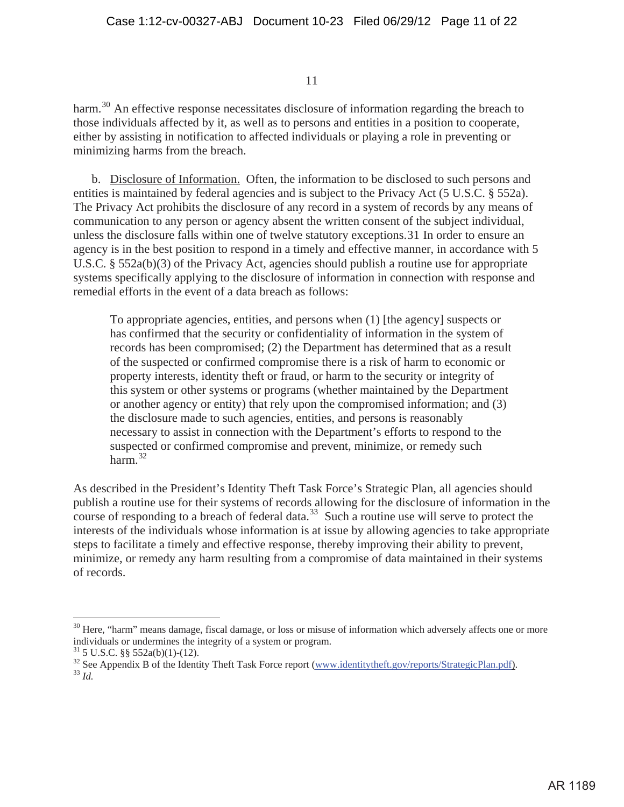harm.<sup>30</sup> An effective response necessitates disclosure of information regarding the breach to those individuals affected by it, as well as to persons and entities in a position to cooperate, either by assisting in notification to affected individuals or playing a role in preventing or minimizing harms from the breach.

b. Disclosure of Information. Often, the information to be disclosed to such persons and entities is maintained by federal agencies and is subject to the Privacy Act (5 U.S.C. § 552a). The Privacy Act prohibits the disclosure of any record in a system of records by any means of communication to any person or agency absent the written consent of the subject individual, unless the disclosure falls within one of twelve statutory exceptions.31 In order to ensure an agency is in the best position to respond in a timely and effective manner, in accordance with 5 U.S.C. § 552a(b)(3) of the Privacy Act, agencies should publish a routine use for appropriate systems specifically applying to the disclosure of information in connection with response and remedial efforts in the event of a data breach as follows:

To appropriate agencies, entities, and persons when (1) [the agency] suspects or has confirmed that the security or confidentiality of information in the system of records has been compromised; (2) the Department has determined that as a result of the suspected or confirmed compromise there is a risk of harm to economic or property interests, identity theft or fraud, or harm to the security or integrity of this system or other systems or programs (whether maintained by the Department or another agency or entity) that rely upon the compromised information; and (3) the disclosure made to such agencies, entities, and persons is reasonably necessary to assist in connection with the Department's efforts to respond to the suspected or confirmed compromise and prevent, minimize, or remedy such harm $^{32}$ 

As described in the President's Identity Theft Task Force's Strategic Plan, all agencies should publish a routine use for their systems of records allowing for the disclosure of information in the course of responding to a breach of federal data.<sup>33</sup> Such a routine use will serve to protect the interests of the individuals whose information is at issue by allowing agencies to take appropriate steps to facilitate a timely and effective response, thereby improving their ability to prevent, minimize, or remedy any harm resulting from a compromise of data maintained in their systems of records.

 $30$  Here, "harm" means damage, fiscal damage, or loss or misuse of information which adversely affects one or more individuals or undermines the integrity of a system or program.

 $31$  5 U.S.C. §§ 552a(b)(1)-(12).

<sup>&</sup>lt;sup>32</sup> See Appendix B of the Identity Theft Task Force report (www.identitytheft.gov/reports/StrategicPlan.pdf).<br><sup>33</sup> *Id*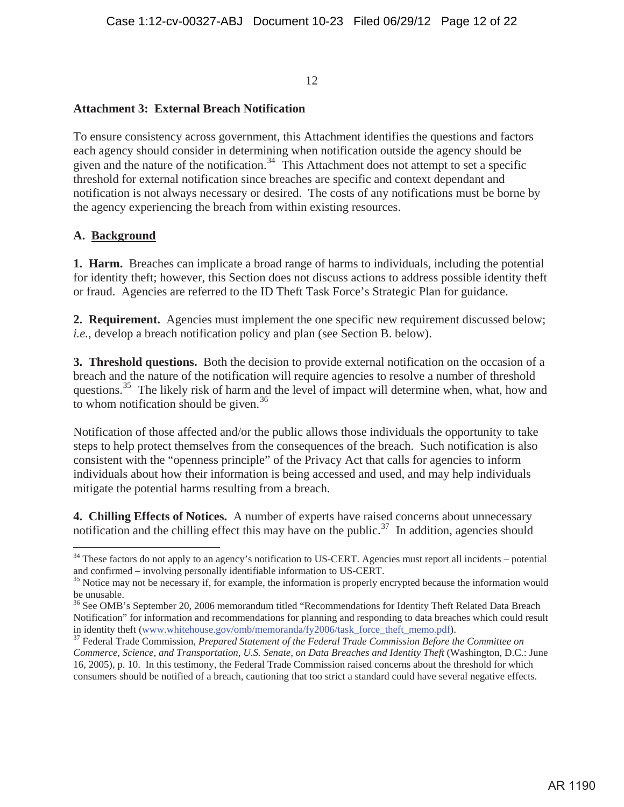#### **Attachment 3: External Breach Notification**

To ensure consistency across government, this Attachment identifies the questions and factors each agency should consider in determining when notification outside the agency should be given and the nature of the notification.<sup>34</sup> This Attachment does not attempt to set a specific threshold for external notification since breaches are specific and context dependant and notification is not always necessary or desired. The costs of any notifications must be borne by the agency experiencing the breach from within existing resources.

#### **A. Background**

**1. Harm.** Breaches can implicate a broad range of harms to individuals, including the potential for identity theft; however, this Section does not discuss actions to address possible identity theft or fraud. Agencies are referred to the ID Theft Task Force's Strategic Plan for guidance.

**2. Requirement.** Agencies must implement the one specific new requirement discussed below; *i.e.*, develop a breach notification policy and plan (see Section B. below).

**3. Threshold questions.** Both the decision to provide external notification on the occasion of a breach and the nature of the notification will require agencies to resolve a number of threshold questions.<sup>35</sup> The likely risk of harm and the level of impact will determine when, what, how and to whom notification should be given. $36$ 

Notification of those affected and/or the public allows those individuals the opportunity to take steps to help protect themselves from the consequences of the breach. Such notification is also consistent with the "openness principle" of the Privacy Act that calls for agencies to inform individuals about how their information is being accessed and used, and may help individuals mitigate the potential harms resulting from a breach.

**4. Chilling Effects of Notices.** A number of experts have raised concerns about unnecessary notification and the chilling effect this may have on the public.<sup>37</sup> In addition, agencies should

<sup>&</sup>lt;sup>34</sup> These factors do not apply to an agency's notification to US-CERT. Agencies must report all incidents – potential and confirmed – involving personally identifiable information to US-CERT.<br><sup>35</sup> Notice may not be necessary if, for example, the information is properly encrypted because the information would

be unusable.

<sup>&</sup>lt;sup>36</sup> See OMB's September 20, 2006 memorandum titled "Recommendations for Identity Theft Related Data Breach Notification" for information and recommendations for planning and responding to data breaches which could result

in identity theft (www.whitehouse.gov/omb/memoranda/fy2006/task\_force\_theft\_memo.pdf).<br><sup>37</sup> Federal Trade Commission, *Prepared Statement of the Federal Trade Commission Before the Committee on Commerce, Science, and Transportation, U.S. Senate, on Data Breaches and Identity Theft (Washington, D.C.: June* 16, 2005), p. 10. In this testimony, the Federal Trade Commission raised concerns about the threshold for which consumers should be notified of a breach, cautioning that too strict a standard could have several negative effects.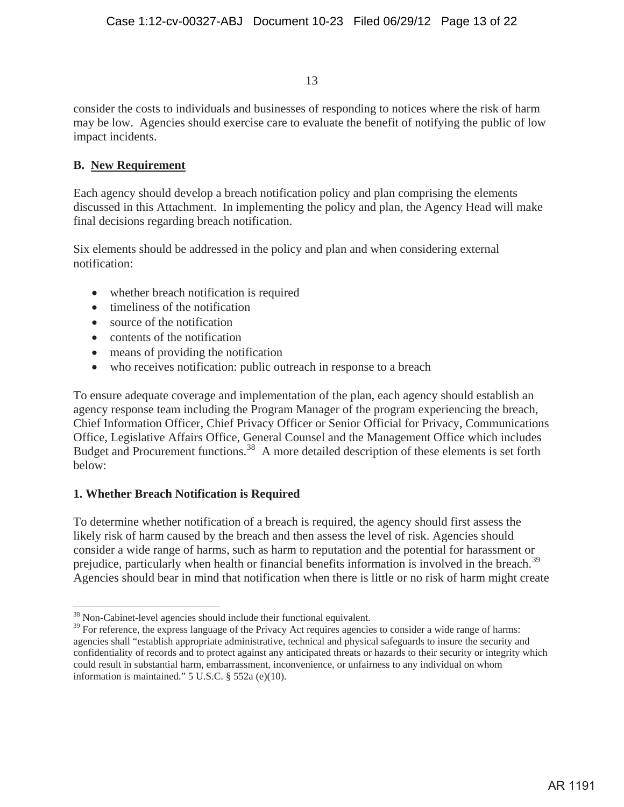consider the costs to individuals and businesses of responding to notices where the risk of harm may be low. Agencies should exercise care to evaluate the benefit of notifying the public of low impact incidents.

# **B. New Requirement**

Each agency should develop a breach notification policy and plan comprising the elements discussed in this Attachment. In implementing the policy and plan, the Agency Head will make final decisions regarding breach notification.

Six elements should be addressed in the policy and plan and when considering external notification:

- whether breach notification is required
- $\bullet$  timeliness of the notification
- $\bullet$  source of the notification
- $\bullet$  contents of the notification
- means of providing the notification
- who receives notification: public outreach in response to a breach

To ensure adequate coverage and implementation of the plan, each agency should establish an agency response team including the Program Manager of the program experiencing the breach, Chief Information Officer, Chief Privacy Officer or Senior Official for Privacy, Communications Office, Legislative Affairs Office, General Counsel and the Management Office which includes Budget and Procurement functions.<sup>38</sup> A more detailed description of these elements is set forth below:

# **1. Whether Breach Notification is Required**

To determine whether notification of a breach is required, the agency should first assess the likely risk of harm caused by the breach and then assess the level of risk. Agencies should consider a wide range of harms, such as harm to reputation and the potential for harassment or prejudice, particularly when health or financial benefits information is involved in the breach.<sup>39</sup> Agencies should bear in mind that notification when there is little or no risk of harm might create

<sup>&</sup>lt;sup>38</sup> Non-Cabinet-level agencies should include their functional equivalent.

<sup>&</sup>lt;sup>39</sup> For reference, the express language of the Privacy Act requires agencies to consider a wide range of harms: agencies shall "establish appropriate administrative, technical and physical safeguards to insure the security and confidentiality of records and to protect against any anticipated threats or hazards to their security or integrity which could result in substantial harm, embarrassment, inconvenience, or unfairness to any individual on whom information is maintained." 5 U.S.C. § 552a (e)(10).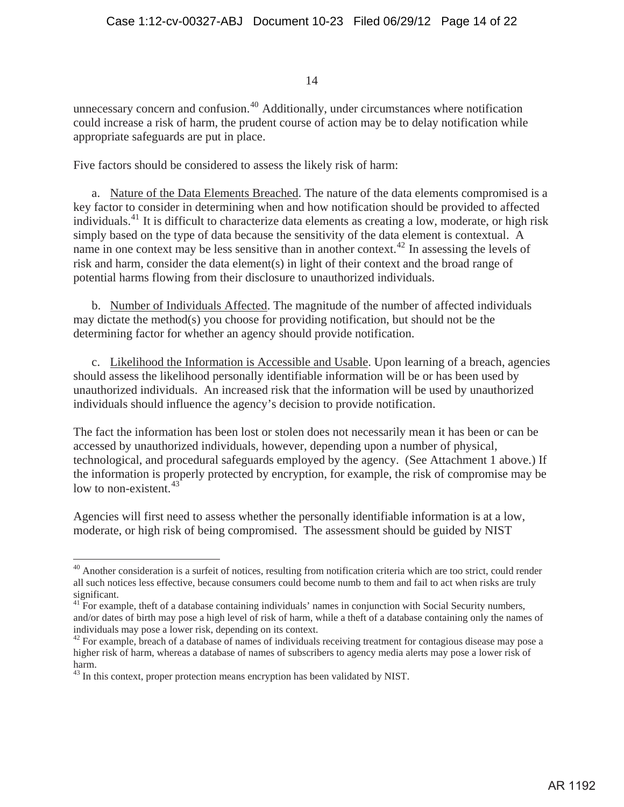unnecessary concern and confusion.<sup>40</sup> Additionally, under circumstances where notification could increase a risk of harm, the prudent course of action may be to delay notification while appropriate safeguards are put in place.

Five factors should be considered to assess the likely risk of harm:

a. Nature of the Data Elements Breached. The nature of the data elements compromised is a key factor to consider in determining when and how notification should be provided to affected individuals.41 It is difficult to characterize data elements as creating a low, moderate, or high risk simply based on the type of data because the sensitivity of the data element is contextual. A name in one context may be less sensitive than in another context.<sup>42</sup> In assessing the levels of risk and harm, consider the data element(s) in light of their context and the broad range of potential harms flowing from their disclosure to unauthorized individuals.

b. Number of Individuals Affected. The magnitude of the number of affected individuals may dictate the method(s) you choose for providing notification, but should not be the determining factor for whether an agency should provide notification.

c. Likelihood the Information is Accessible and Usable. Upon learning of a breach, agencies should assess the likelihood personally identifiable information will be or has been used by unauthorized individuals. An increased risk that the information will be used by unauthorized individuals should influence the agency's decision to provide notification.

The fact the information has been lost or stolen does not necessarily mean it has been or can be accessed by unauthorized individuals, however, depending upon a number of physical, technological, and procedural safeguards employed by the agency. (See Attachment 1 above.) If the information is properly protected by encryption, for example, the risk of compromise may be low to non-existent.  $43$ 

Agencies will first need to assess whether the personally identifiable information is at a low, moderate, or high risk of being compromised. The assessment should be guided by NIST

 $^{40}$  Another consideration is a surfeit of notices, resulting from notification criteria which are too strict, could render all such notices less effective, because consumers could become numb to them and fail to act when risks are truly significant.

<sup>&</sup>lt;sup>41</sup> For example, theft of a database containing individuals' names in conjunction with Social Security numbers, and/or dates of birth may pose a high level of risk of harm, while a theft of a database containing only the names of individuals may pose a lower risk, depending on its context.

<sup>&</sup>lt;sup>42</sup> For example, breach of a database of names of individuals receiving treatment for contagious disease may pose a higher risk of harm, whereas a database of names of subscribers to agency media alerts may pose a lower risk of harm.

<sup>&</sup>lt;sup>43</sup> In this context, proper protection means encryption has been validated by NIST.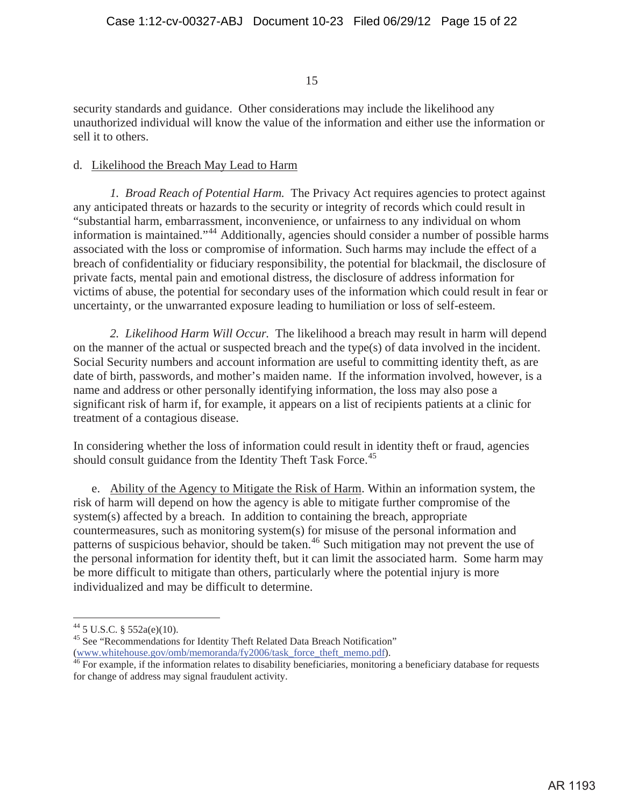security standards and guidance. Other considerations may include the likelihood any unauthorized individual will know the value of the information and either use the information or sell it to others.

#### d. Likelihood the Breach May Lead to Harm

*1. Broad Reach of Potential Harm.* The Privacy Act requires agencies to protect against any anticipated threats or hazards to the security or integrity of records which could result in "substantial harm, embarrassment, inconvenience, or unfairness to any individual on whom information is maintained."44 Additionally, agencies should consider a number of possible harms associated with the loss or compromise of information. Such harms may include the effect of a breach of confidentiality or fiduciary responsibility, the potential for blackmail, the disclosure of private facts, mental pain and emotional distress, the disclosure of address information for victims of abuse, the potential for secondary uses of the information which could result in fear or uncertainty, or the unwarranted exposure leading to humiliation or loss of self-esteem.

*2. Likelihood Harm Will Occur.* The likelihood a breach may result in harm will depend on the manner of the actual or suspected breach and the type(s) of data involved in the incident. Social Security numbers and account information are useful to committing identity theft, as are date of birth, passwords, and mother's maiden name. If the information involved, however, is a name and address or other personally identifying information, the loss may also pose a significant risk of harm if, for example, it appears on a list of recipients patients at a clinic for treatment of a contagious disease.

In considering whether the loss of information could result in identity theft or fraud, agencies should consult guidance from the Identity Theft Task Force.<sup>45</sup>

e. Ability of the Agency to Mitigate the Risk of Harm. Within an information system, the risk of harm will depend on how the agency is able to mitigate further compromise of the system(s) affected by a breach. In addition to containing the breach, appropriate countermeasures, such as monitoring system(s) for misuse of the personal information and patterns of suspicious behavior, should be taken.<sup>46</sup> Such mitigation may not prevent the use of the personal information for identity theft, but it can limit the associated harm. Some harm may be more difficult to mitigate than others, particularly where the potential injury is more individualized and may be difficult to determine.

 $44$  5 U.S.C. § 552a(e)(10).

<sup>&</sup>lt;sup>45</sup> See "Recommendations for Identity Theft Related Data Breach Notification"

<sup>(</sup>www.whitehouse.gov/omb/memoranda/fy2006/task\_force\_theft\_memo.pdf).<br><sup>46</sup> For example, if the information relates to disability beneficiaries, monitoring a beneficiary database for requests for change of address may signal fraudulent activity.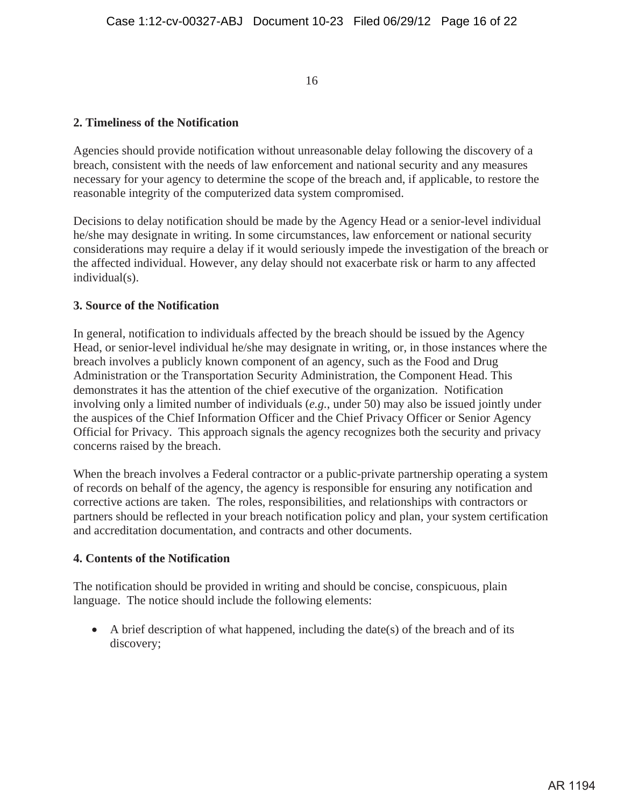#### **2. Timeliness of the Notification**

Agencies should provide notification without unreasonable delay following the discovery of a breach, consistent with the needs of law enforcement and national security and any measures necessary for your agency to determine the scope of the breach and, if applicable, to restore the reasonable integrity of the computerized data system compromised.

Decisions to delay notification should be made by the Agency Head or a senior-level individual he/she may designate in writing. In some circumstances, law enforcement or national security considerations may require a delay if it would seriously impede the investigation of the breach or the affected individual. However, any delay should not exacerbate risk or harm to any affected individual(s).

#### **3. Source of the Notification**

In general, notification to individuals affected by the breach should be issued by the Agency Head, or senior-level individual he/she may designate in writing, or, in those instances where the breach involves a publicly known component of an agency, such as the Food and Drug Administration or the Transportation Security Administration, the Component Head. This demonstrates it has the attention of the chief executive of the organization. Notification involving only a limited number of individuals (*e.g.*, under 50) may also be issued jointly under the auspices of the Chief Information Officer and the Chief Privacy Officer or Senior Agency Official for Privacy. This approach signals the agency recognizes both the security and privacy concerns raised by the breach.

When the breach involves a Federal contractor or a public-private partnership operating a system of records on behalf of the agency, the agency is responsible for ensuring any notification and corrective actions are taken. The roles, responsibilities, and relationships with contractors or partners should be reflected in your breach notification policy and plan, your system certification and accreditation documentation, and contracts and other documents.

#### **4. Contents of the Notification**

The notification should be provided in writing and should be concise, conspicuous, plain language. The notice should include the following elements:

 $\bullet$  A brief description of what happened, including the date(s) of the breach and of its discovery;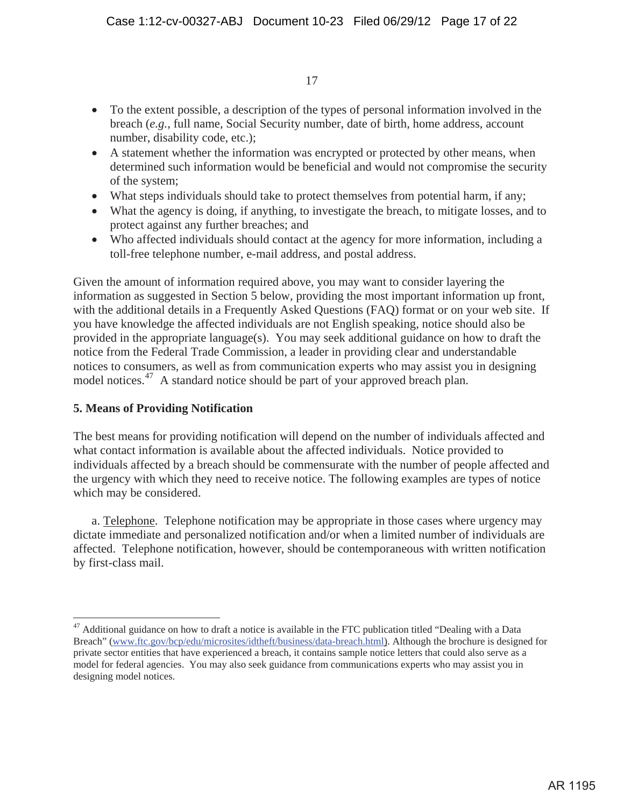- To the extent possible, a description of the types of personal information involved in the breach (*e.g.*, full name, Social Security number, date of birth, home address, account number, disability code, etc.);
- A statement whether the information was encrypted or protected by other means, when determined such information would be beneficial and would not compromise the security of the system;
- What steps individuals should take to protect themselves from potential harm, if any;
- What the agency is doing, if anything, to investigate the breach, to mitigate losses, and to protect against any further breaches; and
- Who affected individuals should contact at the agency for more information, including a toll-free telephone number, e-mail address, and postal address.

Given the amount of information required above, you may want to consider layering the information as suggested in Section 5 below, providing the most important information up front, with the additional details in a Frequently Asked Questions (FAQ) format or on your web site. If you have knowledge the affected individuals are not English speaking, notice should also be provided in the appropriate language(s). You may seek additional guidance on how to draft the notice from the Federal Trade Commission, a leader in providing clear and understandable notices to consumers, as well as from communication experts who may assist you in designing model notices.<sup>47</sup> A standard notice should be part of your approved breach plan.

## **5. Means of Providing Notification**

The best means for providing notification will depend on the number of individuals affected and what contact information is available about the affected individuals. Notice provided to individuals affected by a breach should be commensurate with the number of people affected and the urgency with which they need to receive notice. The following examples are types of notice which may be considered.

a. Telephone. Telephone notification may be appropriate in those cases where urgency may dictate immediate and personalized notification and/or when a limited number of individuals are affected. Telephone notification, however, should be contemporaneous with written notification by first-class mail.

 $47$  Additional guidance on how to draft a notice is available in the FTC publication titled "Dealing with a Data" Breach" (www.ftc.gov/bcp/edu/microsites/idtheft/business/data-breach.html). Although the brochure is designed for private sector entities that have experienced a breach, it contains sample notice letters that could also serve as a model for federal agencies. You may also seek guidance from communications experts who may assist you in designing model notices.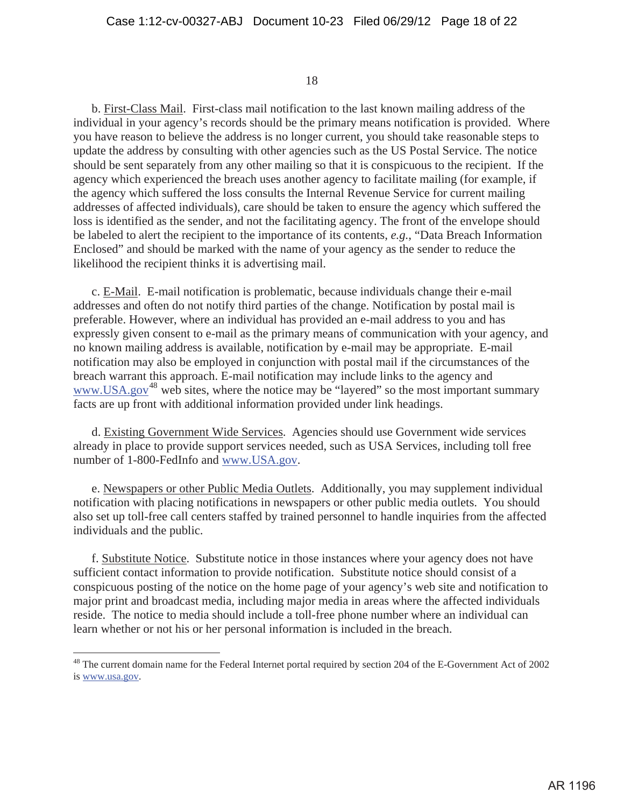b. First-Class Mail. First-class mail notification to the last known mailing address of the individual in your agency's records should be the primary means notification is provided. Where you have reason to believe the address is no longer current, you should take reasonable steps to update the address by consulting with other agencies such as the US Postal Service. The notice should be sent separately from any other mailing so that it is conspicuous to the recipient. If the agency which experienced the breach uses another agency to facilitate mailing (for example, if the agency which suffered the loss consults the Internal Revenue Service for current mailing addresses of affected individuals), care should be taken to ensure the agency which suffered the loss is identified as the sender, and not the facilitating agency. The front of the envelope should be labeled to alert the recipient to the importance of its contents, *e.g.*, "Data Breach Information Enclosed" and should be marked with the name of your agency as the sender to reduce the likelihood the recipient thinks it is advertising mail.

c. E-Mail. E-mail notification is problematic, because individuals change their e-mail addresses and often do not notify third parties of the change. Notification by postal mail is preferable. However, where an individual has provided an e-mail address to you and has expressly given consent to e-mail as the primary means of communication with your agency, and no known mailing address is available, notification by e-mail may be appropriate. E-mail notification may also be employed in conjunction with postal mail if the circumstances of the breach warrant this approach. E-mail notification may include links to the agency and www.USA.gov<sup>48</sup> web sites, where the notice may be "layered" so the most important summary facts are up front with additional information provided under link headings.

d. Existing Government Wide Services. Agencies should use Government wide services already in place to provide support services needed, such as USA Services, including toll free number of 1-800-FedInfo and www.USA.gov.

e. Newspapers or other Public Media Outlets. Additionally, you may supplement individual notification with placing notifications in newspapers or other public media outlets. You should also set up toll-free call centers staffed by trained personnel to handle inquiries from the affected individuals and the public.

f. Substitute Notice. Substitute notice in those instances where your agency does not have sufficient contact information to provide notification. Substitute notice should consist of a conspicuous posting of the notice on the home page of your agency's web site and notification to major print and broadcast media, including major media in areas where the affected individuals reside. The notice to media should include a toll-free phone number where an individual can learn whether or not his or her personal information is included in the breach.

<sup>&</sup>lt;sup>48</sup> The current domain name for the Federal Internet portal required by section 204 of the E-Government Act of 2002 is www.usa.gov.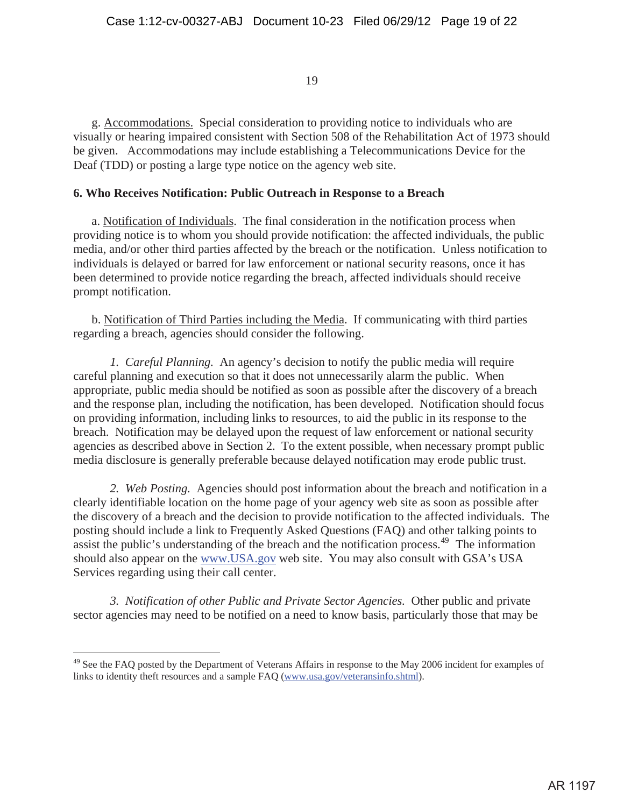g. Accommodations. Special consideration to providing notice to individuals who are visually or hearing impaired consistent with Section 508 of the Rehabilitation Act of 1973 should be given. Accommodations may include establishing a Telecommunications Device for the Deaf (TDD) or posting a large type notice on the agency web site.

#### **6. Who Receives Notification: Public Outreach in Response to a Breach**

a. Notification of Individuals. The final consideration in the notification process when providing notice is to whom you should provide notification: the affected individuals, the public media, and/or other third parties affected by the breach or the notification. Unless notification to individuals is delayed or barred for law enforcement or national security reasons, once it has been determined to provide notice regarding the breach, affected individuals should receive prompt notification.

b. Notification of Third Parties including the Media. If communicating with third parties regarding a breach, agencies should consider the following.

*1. Careful Planning.* An agency's decision to notify the public media will require careful planning and execution so that it does not unnecessarily alarm the public. When appropriate, public media should be notified as soon as possible after the discovery of a breach and the response plan, including the notification, has been developed. Notification should focus on providing information, including links to resources, to aid the public in its response to the breach. Notification may be delayed upon the request of law enforcement or national security agencies as described above in Section 2. To the extent possible, when necessary prompt public media disclosure is generally preferable because delayed notification may erode public trust.

*2. Web Posting.* Agencies should post information about the breach and notification in a clearly identifiable location on the home page of your agency web site as soon as possible after the discovery of a breach and the decision to provide notification to the affected individuals. The posting should include a link to Frequently Asked Questions (FAQ) and other talking points to assist the public's understanding of the breach and the notification process.<sup>49</sup> The information should also appear on the www.USA.gov web site. You may also consult with GSA's USA Services regarding using their call center.

*3. Notification of other Public and Private Sector Agencies.* Other public and private sector agencies may need to be notified on a need to know basis, particularly those that may be

<sup>&</sup>lt;sup>49</sup> See the FAQ posted by the Department of Veterans Affairs in response to the May 2006 incident for examples of links to identity theft resources and a sample FAQ (www.usa.gov/veteransinfo.shtml).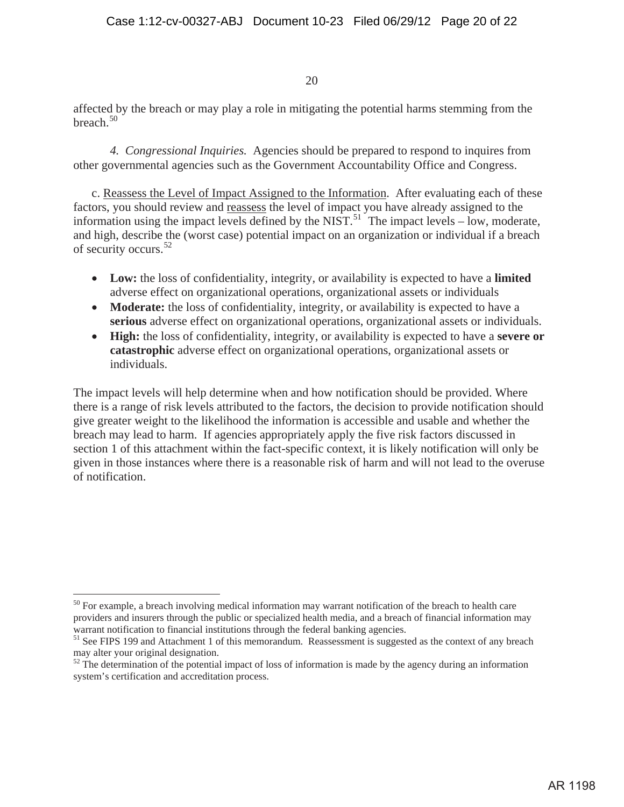affected by the breach or may play a role in mitigating the potential harms stemming from the breach. $50$ 

*4. Congressional Inquiries.* Agencies should be prepared to respond to inquires from other governmental agencies such as the Government Accountability Office and Congress.

c. Reassess the Level of Impact Assigned to the Information. After evaluating each of these factors, you should review and reassess the level of impact you have already assigned to the information using the impact levels defined by the NIST.<sup>51</sup> The impact levels – low, moderate, and high, describe the (worst case) potential impact on an organization or individual if a breach of security occurs.<sup>52</sup>

- Low: the loss of confidentiality, integrity, or availability is expected to have a **limited** adverse effect on organizational operations, organizational assets or individuals
- **Moderate:** the loss of confidentiality, integrity, or availability is expected to have a **serious** adverse effect on organizational operations, organizational assets or individuals.
- x **High:** the loss of confidentiality, integrity, or availability is expected to have a **severe or catastrophic** adverse effect on organizational operations, organizational assets or individuals.

The impact levels will help determine when and how notification should be provided. Where there is a range of risk levels attributed to the factors, the decision to provide notification should give greater weight to the likelihood the information is accessible and usable and whether the breach may lead to harm. If agencies appropriately apply the five risk factors discussed in section 1 of this attachment within the fact-specific context, it is likely notification will only be given in those instances where there is a reasonable risk of harm and will not lead to the overuse of notification.

<sup>&</sup>lt;sup>50</sup> For example, a breach involving medical information may warrant notification of the breach to health care providers and insurers through the public or specialized health media, and a breach of financial information may warrant notification to financial institutions through the federal banking agencies.<br><sup>51</sup> See FIPS 199 and Attachment 1 of this memorandum. Reassessment is suggested as the context of any breach

may alter your original designation.

 $52$  The determination of the potential impact of loss of information is made by the agency during an information system's certification and accreditation process.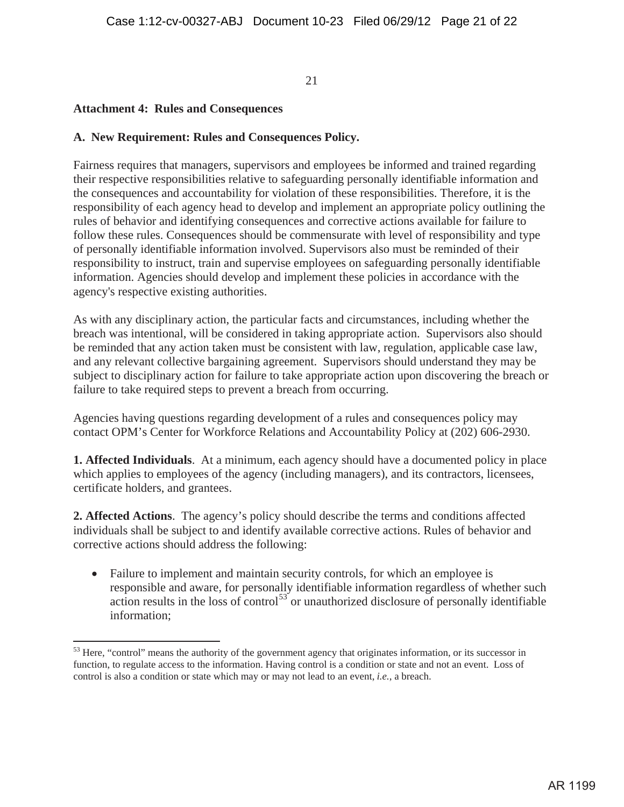## **Attachment 4: Rules and Consequences**

### **A. New Requirement: Rules and Consequences Policy.**

Fairness requires that managers, supervisors and employees be informed and trained regarding their respective responsibilities relative to safeguarding personally identifiable information and the consequences and accountability for violation of these responsibilities. Therefore, it is the responsibility of each agency head to develop and implement an appropriate policy outlining the rules of behavior and identifying consequences and corrective actions available for failure to follow these rules. Consequences should be commensurate with level of responsibility and type of personally identifiable information involved. Supervisors also must be reminded of their responsibility to instruct, train and supervise employees on safeguarding personally identifiable information. Agencies should develop and implement these policies in accordance with the agency's respective existing authorities.

As with any disciplinary action, the particular facts and circumstances, including whether the breach was intentional, will be considered in taking appropriate action. Supervisors also should be reminded that any action taken must be consistent with law, regulation, applicable case law, and any relevant collective bargaining agreement. Supervisors should understand they may be subject to disciplinary action for failure to take appropriate action upon discovering the breach or failure to take required steps to prevent a breach from occurring.

Agencies having questions regarding development of a rules and consequences policy may contact OPM's Center for Workforce Relations and Accountability Policy at (202) 606-2930.

**1. Affected Individuals**. At a minimum, each agency should have a documented policy in place which applies to employees of the agency (including managers), and its contractors, licensees, certificate holders, and grantees.

**2. Affected Actions**. The agency's policy should describe the terms and conditions affected individuals shall be subject to and identify available corrective actions. Rules of behavior and corrective actions should address the following:

• Failure to implement and maintain security controls, for which an employee is responsible and aware, for personally identifiable information regardless of whether such action results in the loss of control<sup>53</sup> or unauthorized disclosure of personally identifiable information;

<sup>&</sup>lt;sup>53</sup> Here, "control" means the authority of the government agency that originates information, or its successor in function, to regulate access to the information. Having control is a condition or state and not an event. Loss of control is also a condition or state which may or may not lead to an event, *i.e.*, a breach.